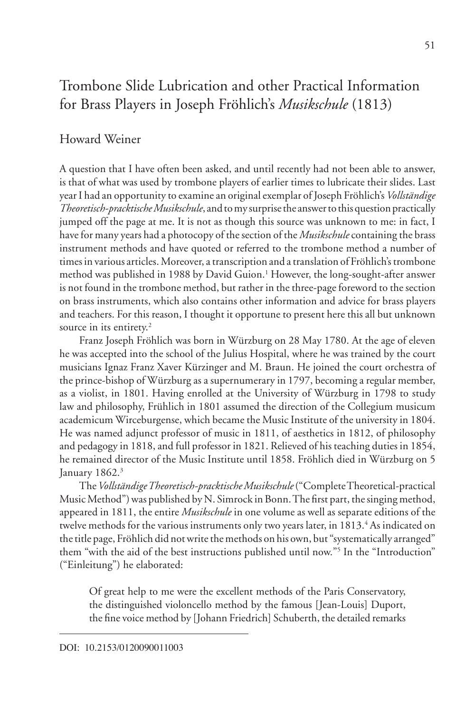# Trombone Slide Lubrication and other Practical Information for Brass Players in Joseph Fröhlich's *Musikschule* (1813)

# Howard Weiner

A question that I have often been asked, and until recently had not been able to answer, is that of what was used by trombone players of earlier times to lubricate their slides. Last year I had an opportunity to examine an original exemplar of Joseph Fröhlich's *Vollständige Theoretisch-pracktische Musikschule*, and to my surprise the answer to this question practically jumped off the page at me. It is not as though this source was unknown to me: in fact, I have for many years had a photocopy of the section of the *Musikschule* containing the brass instrument methods and have quoted or referred to the trombone method a number of times in various articles. Moreover, a transcription and a translation of Fröhlich's trombone method was published in 1988 by David Guion.<sup>1</sup> However, the long-sought-after answer is not found in the trombone method, but rather in the three-page foreword to the section on brass instruments, which also contains other information and advice for brass players and teachers. For this reason, I thought it opportune to present here this all but unknown source in its entirety.<sup>2</sup>

Franz Joseph Fröhlich was born in Würzburg on 28 May 1780. At the age of eleven he was accepted into the school of the Julius Hospital, where he was trained by the court musicians Ignaz Franz Xaver Kürzinger and M. Braun. He joined the court orchestra of the prince-bishop of Würzburg as a supernumerary in 1797, becoming a regular member, as a violist, in 1801. Having enrolled at the University of Würzburg in 1798 to study law and philosophy, Frühlich in 1801 assumed the direction of the Collegium musicum academicum Wirceburgense, which became the Music Institute of the university in 1804. He was named adjunct professor of music in 1811, of aesthetics in 1812, of philosophy and pedagogy in 1818, and full professor in 1821. Relieved of his teaching duties in 1854, he remained director of the Music Institute until 1858. Fröhlich died in Würzburg on 5 January 1862.<sup>3</sup>

The *Vollständige Theoretisch-pracktische Musikschule* ("Complete Theoretical-practical Music Method") was published by N. Simrock in Bonn. The first part, the singing method, appeared in 1811, the entire *Musikschule* in one volume as well as separate editions of the twelve methods for the various instruments only two years later, in 1813.<sup>4</sup> As indicated on the title page, Fröhlich did not write the methods on his own, but "systematically arranged" them "with the aid of the best instructions published until now."5 In the "Introduction" ("Einleitung") he elaborated:

Of great help to me were the excellent methods of the Paris Conservatory, the distinguished violoncello method by the famous [Jean-Louis] Duport, the fine voice method by [Johann Friedrich] Schuberth, the detailed remarks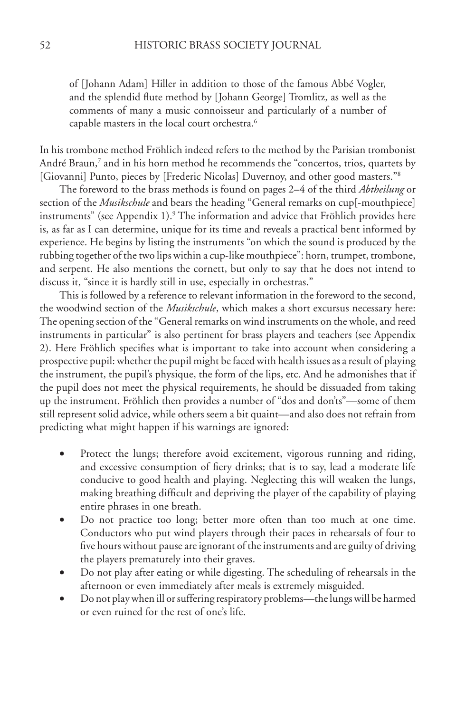of [Johann Adam] Hiller in addition to those of the famous Abbé Vogler, and the splendid flute method by [Johann George] Tromlitz, as well as the comments of many a music connoisseur and particularly of a number of capable masters in the local court orchestra.6

In his trombone method Fröhlich indeed refers to the method by the Parisian trombonist André Braun,<sup>7</sup> and in his horn method he recommends the "concertos, trios, quartets by [Giovanni] Punto, pieces by [Frederic Nicolas] Duvernoy, and other good masters."8

The foreword to the brass methods is found on pages 2–4 of the third *Abtheilung* or section of the *Musikschule* and bears the heading "General remarks on cup[-mouthpiece] instruments" (see Appendix 1).9 The information and advice that Fröhlich provides here is, as far as I can determine, unique for its time and reveals a practical bent informed by experience. He begins by listing the instruments "on which the sound is produced by the rubbing together of the two lips within a cup-like mouthpiece": horn, trumpet, trombone, and serpent. He also mentions the cornett, but only to say that he does not intend to discuss it, "since it is hardly still in use, especially in orchestras."

This is followed by a reference to relevant information in the foreword to the second, the woodwind section of the *Musikschule*, which makes a short excursus necessary here: The opening section of the "General remarks on wind instruments on the whole, and reed instruments in particular" is also pertinent for brass players and teachers (see Appendix 2). Here Fröhlich specifies what is important to take into account when considering a prospective pupil: whether the pupil might be faced with health issues as a result of playing the instrument, the pupil's physique, the form of the lips, etc. And he admonishes that if the pupil does not meet the physical requirements, he should be dissuaded from taking up the instrument. Fröhlich then provides a number of "dos and don'ts"—some of them still represent solid advice, while others seem a bit quaint—and also does not refrain from predicting what might happen if his warnings are ignored:

- Protect the lungs; therefore avoid excitement, vigorous running and riding, and excessive consumption of fiery drinks; that is to say, lead a moderate life conducive to good health and playing. Neglecting this will weaken the lungs, making breathing difficult and depriving the player of the capability of playing entire phrases in one breath.
- • Do not practice too long; better more often than too much at one time. Conductors who put wind players through their paces in rehearsals of four to five hours without pause are ignorant of the instruments and are guilty of driving the players prematurely into their graves.
- Do not play after eating or while digesting. The scheduling of rehearsals in the afternoon or even immediately after meals is extremely misguided.
- Do not play when ill or suffering respiratory problems—the lungs will be harmed or even ruined for the rest of one's life.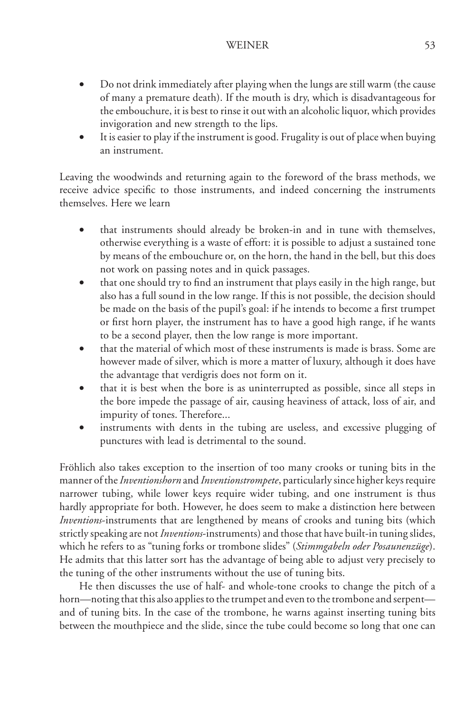- Do not drink immediately after playing when the lungs are still warm (the cause of many a premature death). If the mouth is dry, which is disadvantageous for the embouchure, it is best to rinse it out with an alcoholic liquor, which provides invigoration and new strength to the lips.
- It is easier to play if the instrument is good. Frugality is out of place when buying an instrument.

Leaving the woodwinds and returning again to the foreword of the brass methods, we receive advice specific to those instruments, and indeed concerning the instruments themselves. Here we learn

- that instruments should already be broken-in and in tune with themselves, otherwise everything is a waste of effort: it is possible to adjust a sustained tone by means of the embouchure or, on the horn, the hand in the bell, but this does not work on passing notes and in quick passages.
- that one should try to find an instrument that plays easily in the high range, but also has a full sound in the low range. If this is not possible, the decision should be made on the basis of the pupil's goal: if he intends to become a first trumpet or first horn player, the instrument has to have a good high range, if he wants to be a second player, then the low range is more important.
- that the material of which most of these instruments is made is brass. Some are however made of silver, which is more a matter of luxury, although it does have the advantage that verdigris does not form on it.
- that it is best when the bore is as uninterrupted as possible, since all steps in the bore impede the passage of air, causing heaviness of attack, loss of air, and impurity of tones. Therefore...
- instruments with dents in the tubing are useless, and excessive plugging of punctures with lead is detrimental to the sound.

Fröhlich also takes exception to the insertion of too many crooks or tuning bits in the manner of the *Inventionshorn* and *Inventionstrompete*, particularly since higher keys require narrower tubing, while lower keys require wider tubing, and one instrument is thus hardly appropriate for both. However, he does seem to make a distinction here between *Inventions*-instruments that are lengthened by means of crooks and tuning bits (which strictly speaking are not *Inventions*-instruments) and those that have built-in tuning slides, which he refers to as "tuning forks or trombone slides" (*Stimmgabeln oder Posaunenzüge*). He admits that this latter sort has the advantage of being able to adjust very precisely to the tuning of the other instruments without the use of tuning bits.

He then discusses the use of half- and whole-tone crooks to change the pitch of a horn—noting that this also applies to the trumpet and even to the trombone and serpent and of tuning bits. In the case of the trombone, he warns against inserting tuning bits between the mouthpiece and the slide, since the tube could become so long that one can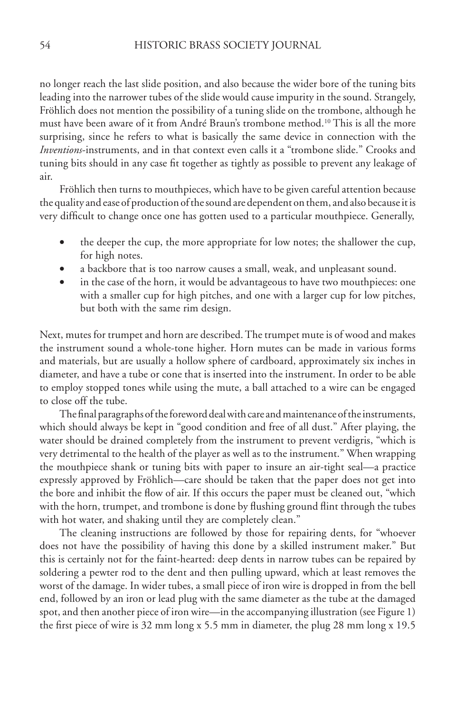no longer reach the last slide position, and also because the wider bore of the tuning bits leading into the narrower tubes of the slide would cause impurity in the sound. Strangely, Fröhlich does not mention the possibility of a tuning slide on the trombone, although he must have been aware of it from André Braun's trombone method.10 This is all the more surprising, since he refers to what is basically the same device in connection with the *Inventions*-instruments, and in that context even calls it a "trombone slide." Crooks and tuning bits should in any case fit together as tightly as possible to prevent any leakage of air.

Fröhlich then turns to mouthpieces, which have to be given careful attention because the quality and ease of production of the sound are dependent on them, and also because it is very difficult to change once one has gotten used to a particular mouthpiece. Generally,

- the deeper the cup, the more appropriate for low notes; the shallower the cup, for high notes.
- a backbore that is too narrow causes a small, weak, and unpleasant sound.
- in the case of the horn, it would be advantageous to have two mouthpieces: one with a smaller cup for high pitches, and one with a larger cup for low pitches, but both with the same rim design.

Next, mutes for trumpet and horn are described. The trumpet mute is of wood and makes the instrument sound a whole-tone higher. Horn mutes can be made in various forms and materials, but are usually a hollow sphere of cardboard, approximately six inches in diameter, and have a tube or cone that is inserted into the instrument. In order to be able to employ stopped tones while using the mute, a ball attached to a wire can be engaged to close off the tube.

The final paragraphs of the foreword deal with care and maintenance of the instruments, which should always be kept in "good condition and free of all dust." After playing, the water should be drained completely from the instrument to prevent verdigris, "which is very detrimental to the health of the player as well as to the instrument." When wrapping the mouthpiece shank or tuning bits with paper to insure an air-tight seal—a practice expressly approved by Fröhlich—care should be taken that the paper does not get into the bore and inhibit the flow of air. If this occurs the paper must be cleaned out, "which with the horn, trumpet, and trombone is done by flushing ground flint through the tubes with hot water, and shaking until they are completely clean."

The cleaning instructions are followed by those for repairing dents, for "whoever does not have the possibility of having this done by a skilled instrument maker." But this is certainly not for the faint-hearted: deep dents in narrow tubes can be repaired by soldering a pewter rod to the dent and then pulling upward, which at least removes the worst of the damage. In wider tubes, a small piece of iron wire is dropped in from the bell end, followed by an iron or lead plug with the same diameter as the tube at the damaged spot, and then another piece of iron wire—in the accompanying illustration (see Figure 1) the first piece of wire is 32 mm long x 5.5 mm in diameter, the plug 28 mm long x 19.5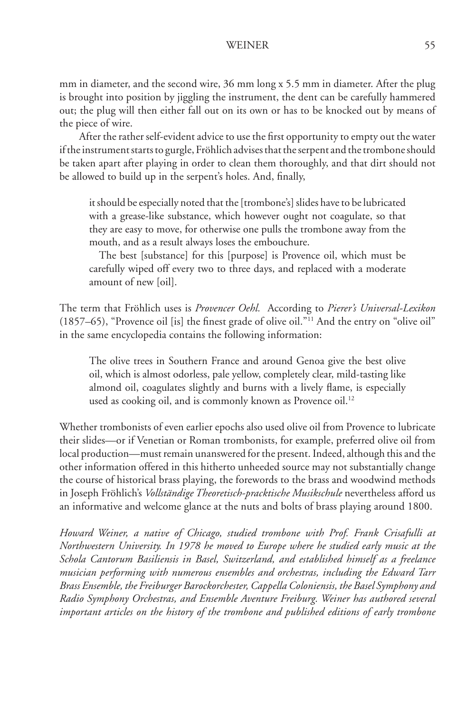mm in diameter, and the second wire, 36 mm long x 5.5 mm in diameter. After the plug is brought into position by jiggling the instrument, the dent can be carefully hammered out; the plug will then either fall out on its own or has to be knocked out by means of the piece of wire.

After the rather self-evident advice to use the first opportunity to empty out the water if the instrument starts to gurgle, Fröhlich advises that the serpent and the trombone should be taken apart after playing in order to clean them thoroughly, and that dirt should not be allowed to build up in the serpent's holes. And, finally,

it should be especially noted that the [trombone's] slides have to be lubricated with a grease-like substance, which however ought not coagulate, so that they are easy to move, for otherwise one pulls the trombone away from the mouth, and as a result always loses the embouchure.

The best [substance] for this [purpose] is Provence oil, which must be carefully wiped off every two to three days, and replaced with a moderate amount of new [oil].

The term that Fröhlich uses is *Provencer Oehl.* According to *Pierer's Universal-Lexikon* (1857–65), "Provence oil [is] the finest grade of olive oil."11 And the entry on "olive oil" in the same encyclopedia contains the following information:

The olive trees in Southern France and around Genoa give the best olive oil, which is almost odorless, pale yellow, completely clear, mild-tasting like almond oil, coagulates slightly and burns with a lively flame, is especially used as cooking oil, and is commonly known as Provence oil.<sup>12</sup>

Whether trombonists of even earlier epochs also used olive oil from Provence to lubricate their slides—or if Venetian or Roman trombonists, for example, preferred olive oil from local production—must remain unanswered for the present. Indeed, although this and the other information offered in this hitherto unheeded source may not substantially change the course of historical brass playing, the forewords to the brass and woodwind methods in Joseph Fröhlich's *Vollständige Theoretisch-pracktische Musikschule* nevertheless afford us an informative and welcome glance at the nuts and bolts of brass playing around 1800.

*Howard Weiner, a native of Chicago, studied trombone with Prof. Frank Crisafulli at Northwestern University. In 1978 he moved to Europe where he studied early music at the Schola Cantorum Basiliensis in Basel, Switzerland, and established himself as a freelance musician performing with numerous ensembles and orchestras, including the Edward Tarr Brass Ensemble, the Freiburger Barockorchester, Cappella Coloniensis, the Basel Symphony and Radio Symphony Orchestras, and Ensemble Aventure Freiburg. Weiner has authored several important articles on the history of the trombone and published editions of early trombone*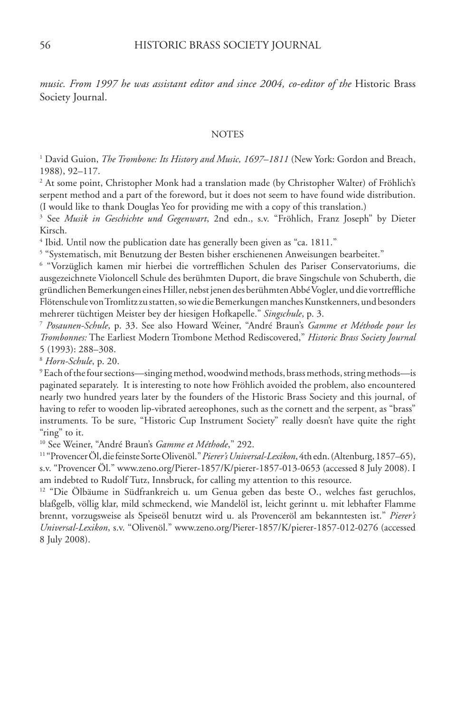*music. From 1997 he was assistant editor and since 2004, co-editor of the* Historic Brass Society Journal.

#### NOTES

<sup>1</sup> David Guion, *The Trombone: Its History and Music, 1697–1811* (New York: Gordon and Breach, 1988), 92–117.

2 At some point, Christopher Monk had a translation made (by Christopher Walter) of Fröhlich's serpent method and a part of the foreword, but it does not seem to have found wide distribution. (I would like to thank Douglas Yeo for providing me with a copy of this translation.)

3 See *Musik in Geschichte und Gegenwart*, 2nd edn., s.v. "Fröhlich, Franz Joseph" by Dieter Kirsch.

<sup>4</sup> Ibid. Until now the publication date has generally been given as "ca. 1811."

5 "Systematisch, mit Benutzung der Besten bisher erschienenen Anweisungen bearbeitet."

6 "Vorzüglich kamen mir hierbei die vortrefflichen Schulen des Pariser Conservatoriums, die ausgezeichnete Violoncell Schule des berühmten Duport, die brave Singschule von Schuberth, die gründlichen Bemerkungen eines Hiller, nebst jenen des berühmten Abbé Vogler, und die vortreffliche Flötenschule von Tromlitz zu statten, so wie die Bemerkungen manches Kunstkenners, und besonders mehrerer tüchtigen Meister bey der hiesigen Hofkapelle." *Singschule*, p. 3.

<sup>7</sup> *Posaunen-Schule*, p. 33. See also Howard Weiner, "André Braun's *Gamme et Méthode pour les Trombonnes:* The Earliest Modern Trombone Method Rediscovered," *Historic Brass Society Journal* 5 (1993): 288–308.

<sup>8</sup> *Horn-Schule*, p. 20.

9 Each of the four sections—singing method, woodwind methods, brass methods, string methods—is paginated separately. It is interesting to note how Fröhlich avoided the problem, also encountered nearly two hundred years later by the founders of the Historic Brass Society and this journal, of having to refer to wooden lip-vibrated aereophones, such as the cornett and the serpent, as "brass" instruments. To be sure, "Historic Cup Instrument Society" really doesn't have quite the right "ring" to it.

10 See Weiner, "André Braun's *Gamme et Méthode*," 292.

11 "Provencer Öl, die feinste Sorte Olivenöl."*Pierer's Universal-Lexikon*, 4th edn. (Altenburg, 1857–65), s.v. "Provencer Öl." www.zeno.org/Pierer-1857/K/pierer-1857-013-0653 (accessed 8 July 2008). I am indebted to Rudolf Tutz, Innsbruck, for calling my attention to this resource.

<sup>12</sup> "Die Ölbäume in Südfrankreich u. um Genua geben das beste O., welches fast geruchlos, blaßgelb, völlig klar, mild schmeckend, wie Mandelöl ist, leicht gerinnt u. mit lebhafter Flamme brennt, vorzugsweise als Speiseöl benutzt wird u. als Provenceröl am bekanntesten ist." *Pierer's Universal-Lexikon*, s.v. "Olivenöl." www.zeno.org/Pierer-1857/K/pierer-1857-012-0276 (accessed 8 July 2008).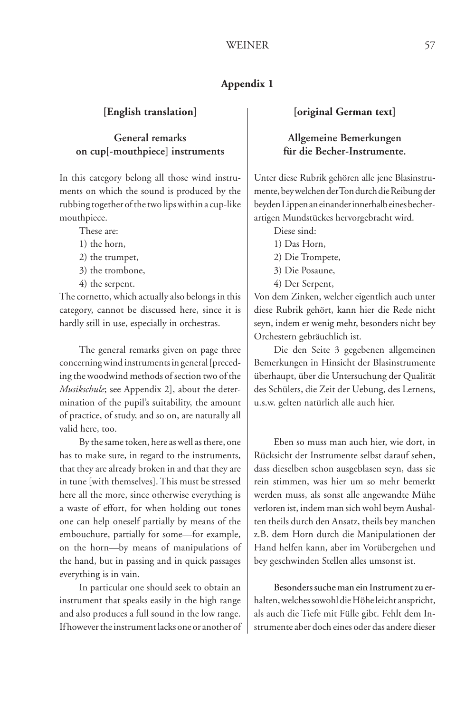# **Appendix 1**

#### **[English translation]**

# **General remarks on cup[-mouthpiece] instruments**

In this category belong all those wind instruments on which the sound is produced by the rubbing together of the two lips within a cup-like mouthpiece.

These are:

- 1) the horn,
- 2) the trumpet,
- 3) the trombone,
- 4) the serpent.

The cornetto, which actually also belongs in this category, cannot be discussed here, since it is hardly still in use, especially in orchestras.

The general remarks given on page three concerning wind instruments in general [preceding the woodwind methods of section two of the *Musikschule*; see Appendix 2], about the determination of the pupil's suitability, the amount of practice, of study, and so on, are naturally all valid here, too.

By the same token, here as well as there, one has to make sure, in regard to the instruments, that they are already broken in and that they are in tune [with themselves]. This must be stressed here all the more, since otherwise everything is a waste of effort, for when holding out tones one can help oneself partially by means of the embouchure, partially for some—for example, on the horn—by means of manipulations of the hand, but in passing and in quick passages everything is in vain.

In particular one should seek to obtain an instrument that speaks easily in the high range and also produces a full sound in the low range. If however the instrument lacks one or another of

#### **[original German text]**

### **Allgemeine Bemerkungen für die Becher-Instrumente.**

Unter diese Rubrik gehören alle jene Blasinstrumente, bey welchen der Ton durch die Reibung der beyden Lippen an einander innerhalb eines becherartigen Mundstückes hervorgebracht wird.

Diese sind:

- 1) Das Horn,
- 2) Die Trompete,
- 3) Die Posaune,
- 4) Der Serpent,

Von dem Zinken, welcher eigentlich auch unter diese Rubrik gehört, kann hier die Rede nicht seyn, indem er wenig mehr, besonders nicht bey Orchestern gebräuchlich ist.

Die den Seite 3 gegebenen allgemeinen Bemerkungen in Hinsicht der Blasinstrumente überhaupt, über die Untersuchung der Qualität des Schülers, die Zeit der Uebung, des Lernens, u.s.w. gelten natürlich alle auch hier.

Eben so muss man auch hier, wie dort, in Rücksicht der Instrumente selbst darauf sehen, dass dieselben schon ausgeblasen seyn, dass sie rein stimmen, was hier um so mehr bemerkt werden muss, als sonst alle angewandte Mühe verloren ist, indem man sich wohl beym Aushalten theils durch den Ansatz, theils bey manchen z.B. dem Horn durch die Manipulationen der Hand helfen kann, aber im Vorübergehen und bey geschwinden Stellen alles umsonst ist.

Besonders suche man ein Instrument zu erhalten, welches sowohl die Höhe leicht anspricht, als auch die Tiefe mit Fülle gibt. Fehlt dem Instrumente aber doch eines oder das andere dieser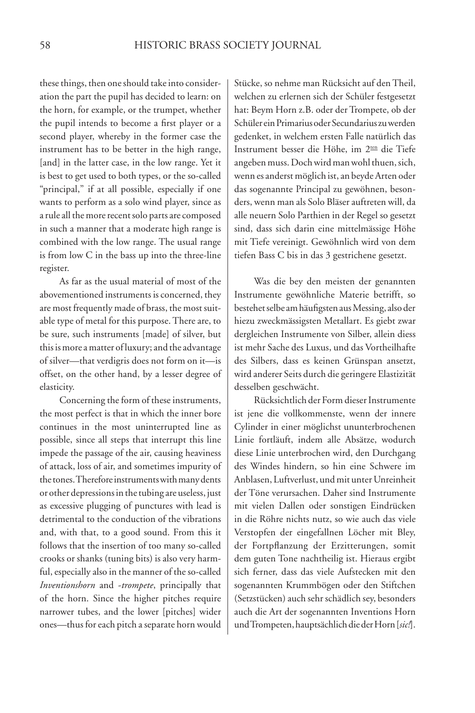these things, then one should take into consideration the part the pupil has decided to learn: on the horn, for example, or the trumpet, whether the pupil intends to become a first player or a second player, whereby in the former case the instrument has to be better in the high range, [and] in the latter case, in the low range. Yet it is best to get used to both types, or the so-called "principal," if at all possible, especially if one wants to perform as a solo wind player, since as a rule all the more recent solo parts are composed in such a manner that a moderate high range is combined with the low range. The usual range is from low C in the bass up into the three-line register.

As far as the usual material of most of the abovementioned instruments is concerned, they are most frequently made of brass, the most suitable type of metal for this purpose. There are, to be sure, such instruments [made] of silver, but this is more a matter of luxury; and the advantage of silver—that verdigris does not form on it—is offset, on the other hand, by a lesser degree of elasticity.

Concerning the form of these instruments, the most perfect is that in which the inner bore continues in the most uninterrupted line as possible, since all steps that interrupt this line impede the passage of the air, causing heaviness of attack, loss of air, and sometimes impurity of the tones. Therefore instruments with many dents or other depressions in the tubing are useless, just as excessive plugging of punctures with lead is detrimental to the conduction of the vibrations and, with that, to a good sound. From this it follows that the insertion of too many so-called crooks or shanks (tuning bits) is also very harmful, especially also in the manner of the so-called *Inventionshorn* and -*trompete*, principally that of the horn. Since the higher pitches require narrower tubes, and the lower [pitches] wider ones—thus for each pitch a separate horn would

Stücke, so nehme man Rücksicht auf den Theil, welchen zu erlernen sich der Schüler festgesetzt hat: Beym Horn z.B. oder der Trompete, ob der Schüler ein Primarius oder Secundarius zu werden gedenket, in welchem ersten Falle natürlich das Instrument besser die Höhe, im 2<sup>ten</sup> die Tiefe angeben muss. Doch wird man wohl thuen, sich, wenn es anderst möglich ist, an beyde Arten oder das sogenannte Principal zu gewöhnen, besonders, wenn man als Solo Bläser auftreten will, da alle neuern Solo Parthien in der Regel so gesetzt sind, dass sich darin eine mittelmässige Höhe mit Tiefe vereinigt. Gewöhnlich wird von dem tiefen Bass C bis in das 3 gestrichene gesetzt.

Was die bey den meisten der genannten Instrumente gewöhnliche Materie betrifft, so bestehet selbe am häufigsten aus Messing, also der hiezu zweckmässigsten Metallart. Es giebt zwar dergleichen Instrumente von Silber, allein diess ist mehr Sache des Luxus, und das Vortheilhafte des Silbers, dass es keinen Grünspan ansetzt, wird anderer Seits durch die geringere Elastizität desselben geschwächt.

Rücksichtlich der Form dieser Instrumente ist jene die vollkommenste, wenn der innere Cylinder in einer möglichst ununterbrochenen Linie fortläuft, indem alle Absätze, wodurch diese Linie unterbrochen wird, den Durchgang des Windes hindern, so hin eine Schwere im Anblasen, Luftverlust, und mit unter Unreinheit der Töne verursachen. Daher sind Instrumente mit vielen Dallen oder sonstigen Eindrücken in die Röhre nichts nutz, so wie auch das viele Verstopfen der eingefallnen Löcher mit Bley, der Fortpflanzung der Erzitterungen, somit dem guten Tone nachtheilig ist. Hieraus ergibt sich ferner, dass das viele Aufstecken mit den sogenannten Krummbögen oder den Stiftchen (Setzstücken) auch sehr schädlich sey, besonders auch die Art der sogenannten Inventions Horn und Trompeten, hauptsächlich die der Horn [*sic!*].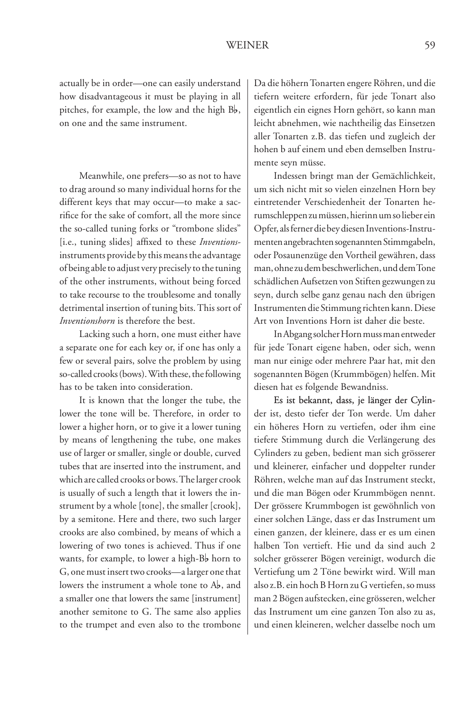actually be in order—one can easily understand how disadvantageous it must be playing in all pitches, for example, the low and the high  $B_b$ , on one and the same instrument.

Meanwhile, one prefers—so as not to have to drag around so many individual horns for the different keys that may occur—to make a sacrifice for the sake of comfort, all the more since the so-called tuning forks or "trombone slides" [i.e., tuning slides] affixed to these *Inventions*instruments provide by this means the advantage of being able to adjust very precisely to the tuning of the other instruments, without being forced to take recourse to the troublesome and tonally detrimental insertion of tuning bits. This sort of *Inventionshorn* is therefore the best.

Lacking such a horn, one must either have a separate one for each key or, if one has only a few or several pairs, solve the problem by using so-called crooks (bows). With these, the following has to be taken into consideration.

It is known that the longer the tube, the lower the tone will be. Therefore, in order to lower a higher horn, or to give it a lower tuning by means of lengthening the tube, one makes use of larger or smaller, single or double, curved tubes that are inserted into the instrument, and which are called crooks or bows. The larger crook is usually of such a length that it lowers the instrument by a whole [tone], the smaller [crook], by a semitone. Here and there, two such larger crooks are also combined, by means of which a lowering of two tones is achieved. Thus if one wants, for example, to lower a high-B<sub>p</sub> horn to G, one must insert two crooks—a larger one that lowers the instrument a whole tone to A<sub>b</sub>, and a smaller one that lowers the same [instrument] another semitone to G. The same also applies to the trumpet and even also to the trombone

Da die höhern Tonarten engere Röhren, und die tiefern weitere erfordern, für jede Tonart also eigentlich ein eignes Horn gehört, so kann man leicht abnehmen, wie nachtheilig das Einsetzen aller Tonarten z.B. das tiefen und zugleich der hohen b auf einem und eben demselben Instrumente seyn müsse.

Indessen bringt man der Gemächlichkeit, um sich nicht mit so vielen einzelnen Horn bey eintretender Verschiedenheit der Tonarten herumschleppen zu müssen, hierinn um so lieber ein Opfer, als ferner die bey diesen Inventions-Instrumenten angebrachten sogenannten Stimmgabeln, oder Posaunenzüge den Vortheil gewähren, dass man, ohne zu dem beschwerlichen, und dem Tone schädlichen Aufsetzen von Stiften gezwungen zu seyn, durch selbe ganz genau nach den übrigen Instrumenten die Stimmung richten kann. Diese Art von Inventions Horn ist daher die beste.

In Abgang solcher Horn muss man entweder für jede Tonart eigene haben, oder sich, wenn man nur einige oder mehrere Paar hat, mit den sogenannten Bögen (Krummbögen) helfen. Mit diesen hat es folgende Bewandniss.

Es ist bekannt, dass, je länger der Cylinder ist, desto tiefer der Ton werde. Um daher ein höheres Horn zu vertiefen, oder ihm eine tiefere Stimmung durch die Verlängerung des Cylinders zu geben, bedient man sich grösserer und kleinerer, einfacher und doppelter runder Röhren, welche man auf das Instrument steckt, und die man Bögen oder Krummbögen nennt. Der grössere Krummbogen ist gewöhnlich von einer solchen Länge, dass er das Instrument um einen ganzen, der kleinere, dass er es um einen halben Ton vertieft. Hie und da sind auch 2 solcher grösserer Bögen vereinigt, wodurch die Vertiefung um 2 Töne bewirkt wird. Will man also z.B. ein hoch B Horn zu G vertiefen, so muss man 2 Bögen aufstecken, eine grösseren, welcher das Instrument um eine ganzen Ton also zu as, und einen kleineren, welcher dasselbe noch um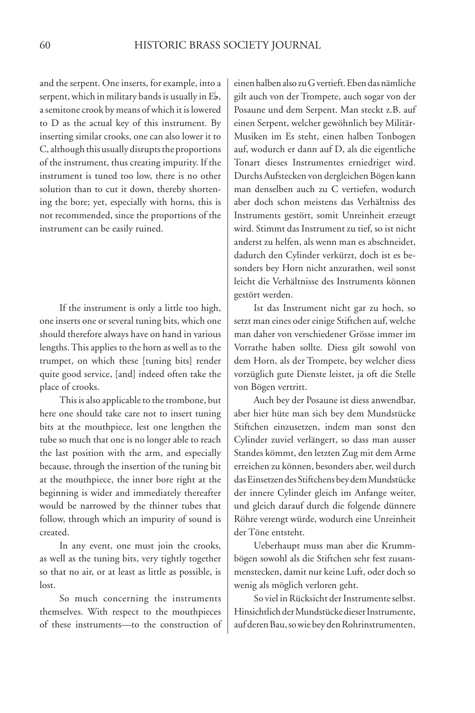and the serpent. One inserts, for example, into a serpent, which in military bands is usually in  $E_{\mathbf{b}}$ , a semitone crook by means of which it is lowered to D as the actual key of this instrument. By inserting similar crooks, one can also lower it to C, although this usually disrupts the proportions of the instrument, thus creating impurity. If the instrument is tuned too low, there is no other solution than to cut it down, thereby shortening the bore; yet, especially with horns, this is not recommended, since the proportions of the instrument can be easily ruined.

If the instrument is only a little too high, one inserts one or several tuning bits, which one should therefore always have on hand in various lengths. This applies to the horn as well as to the trumpet, on which these [tuning bits] render quite good service, [and] indeed often take the place of crooks.

This is also applicable to the trombone, but here one should take care not to insert tuning bits at the mouthpiece, lest one lengthen the tube so much that one is no longer able to reach the last position with the arm, and especially because, through the insertion of the tuning bit at the mouthpiece, the inner bore right at the beginning is wider and immediately thereafter would be narrowed by the thinner tubes that follow, through which an impurity of sound is created.

In any event, one must join the crooks, as well as the tuning bits, very tightly together so that no air, or at least as little as possible, is lost.

So much concerning the instruments themselves. With respect to the mouthpieces of these instruments—to the construction of

einen halben also zu G vertieft. Eben das nämliche gilt auch von der Trompete, auch sogar von der Posaune und dem Serpent. Man steckt z.B. auf einen Serpent, welcher gewöhnlich bey Militär-Musiken im Es steht, einen halben Tonbogen auf, wodurch er dann auf D, als die eigentliche Tonart dieses Instrumentes erniedriget wird. Durchs Aufstecken von dergleichen Bögen kann man denselben auch zu C vertiefen, wodurch aber doch schon meistens das Verhältniss des Instruments gestört, somit Unreinheit erzeugt wird. Stimmt das Instrument zu tief, so ist nicht anderst zu helfen, als wenn man es abschneidet, dadurch den Cylinder verkürzt, doch ist es besonders bey Horn nicht anzurathen, weil sonst leicht die Verhältnisse des Instruments können gestört werden.

Ist das Instrument nicht gar zu hoch, so setzt man eines oder einige Stiftchen auf, welche man daher von verschiedener Grösse immer im Vorrathe haben sollte. Diess gilt sowohl von dem Horn, als der Trompete, bey welcher diess vorzüglich gute Dienste leistet, ja oft die Stelle von Bögen vertritt.

Auch bey der Posaune ist diess anwendbar, aber hier hüte man sich bey dem Mundstücke Stiftchen einzusetzen, indem man sonst den Cylinder zuviel verlängert, so dass man ausser Standes kömmt, den letzten Zug mit dem Arme erreichen zu können, besonders aber, weil durch das Einsetzen des Stiftchens bey dem Mundstücke der innere Cylinder gleich im Anfange weiter, und gleich darauf durch die folgende dünnere Röhre verengt würde, wodurch eine Unreinheit der Töne entsteht.

Ueberhaupt muss man aber die Krummbögen sowohl als die Stiftchen sehr fest zusammenstecken, damit nur keine Luft, oder doch so wenig als möglich verloren geht.

So viel in Rücksicht der Instrumente selbst. Hinsichtlich der Mundstücke dieser Instrumente, auf deren Bau, so wie bey den Rohrinstrumenten,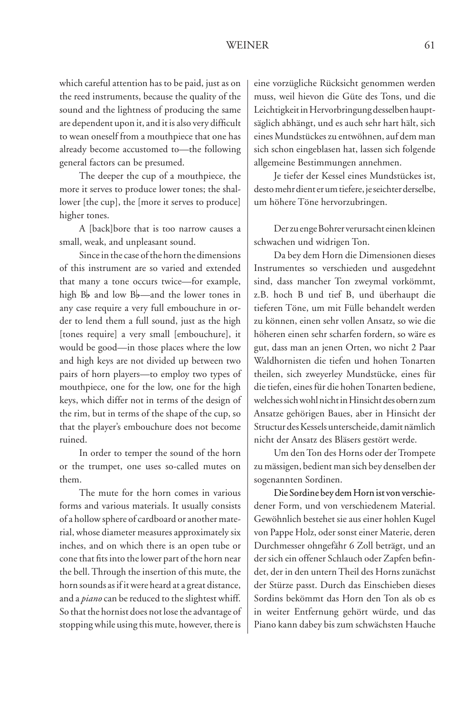which careful attention has to be paid, just as on the reed instruments, because the quality of the sound and the lightness of producing the same are dependent upon it, and it is also very difficult to wean oneself from a mouthpiece that one has already become accustomed to—the following general factors can be presumed.

The deeper the cup of a mouthpiece, the more it serves to produce lower tones; the shallower [the cup], the [more it serves to produce] higher tones.

A [back]bore that is too narrow causes a small, weak, and unpleasant sound.

Since in the case of the horn the dimensions of this instrument are so varied and extended that many a tone occurs twice—for example, high  $B_b$  and low  $B_b$ —and the lower tones in any case require a very full embouchure in order to lend them a full sound, just as the high [tones require] a very small [embouchure], it would be good—in those places where the low and high keys are not divided up between two pairs of horn players—to employ two types of mouthpiece, one for the low, one for the high keys, which differ not in terms of the design of the rim, but in terms of the shape of the cup, so that the player's embouchure does not become ruined.

In order to temper the sound of the horn or the trumpet, one uses so-called mutes on them.

The mute for the horn comes in various forms and various materials. It usually consists of a hollow sphere of cardboard or another material, whose diameter measures approximately six inches, and on which there is an open tube or cone that fits into the lower part of the horn near the bell. Through the insertion of this mute, the horn sounds as if it were heard at a great distance, and a *piano* can be reduced to the slightest whiff. So that the hornist does not lose the advantage of stopping while using this mute, however, there is

eine vorzügliche Rücksicht genommen werden muss, weil hievon die Güte des Tons, und die Leichtigkeit in Hervorbringung desselben hauptsäglich abhängt, und es auch sehr hart hält, sich eines Mundstückes zu entwöhnen, auf dem man sich schon eingeblasen hat, lassen sich folgende allgemeine Bestimmungen annehmen.

Je tiefer der Kessel eines Mundstückes ist, desto mehr dient er um tiefere, je seichter derselbe, um höhere Töne hervorzubringen.

Der zu enge Bohrer verursacht einen kleinen schwachen und widrigen Ton.

Da bey dem Horn die Dimensionen dieses Instrumentes so verschieden und ausgedehnt sind, dass mancher Ton zweymal vorkömmt, z.B. hoch B und tief B, und überhaupt die tieferen Töne, um mit Fülle behandelt werden zu können, einen sehr vollen Ansatz, so wie die höheren einen sehr scharfen fordern, so wäre es gut, dass man an jenen Orten, wo nicht 2 Paar Waldhornisten die tiefen und hohen Tonarten theilen, sich zweyerley Mundstücke, eines für die tiefen, eines für die hohen Tonarten bediene, welches sich wohl nicht in Hinsicht des obern zum Ansatze gehörigen Baues, aber in Hinsicht der Structur des Kessels unterscheide, damit nämlich nicht der Ansatz des Bläsers gestört werde.

Um den Ton des Horns oder der Trompete zu mässigen, bedient man sich bey denselben der sogenannten Sordinen.

Die Sordine bey dem Horn ist von verschiedener Form, und von verschiedenem Material. Gewöhnlich bestehet sie aus einer hohlen Kugel von Pappe Holz, oder sonst einer Materie, deren Durchmesser ohngefähr 6 Zoll beträgt, und an der sich ein offener Schlauch oder Zapfen befindet, der in den untern Theil des Horns zunächst der Stürze passt. Durch das Einschieben dieses Sordins bekömmt das Horn den Ton als ob es in weiter Entfernung gehört würde, und das Piano kann dabey bis zum schwächsten Hauche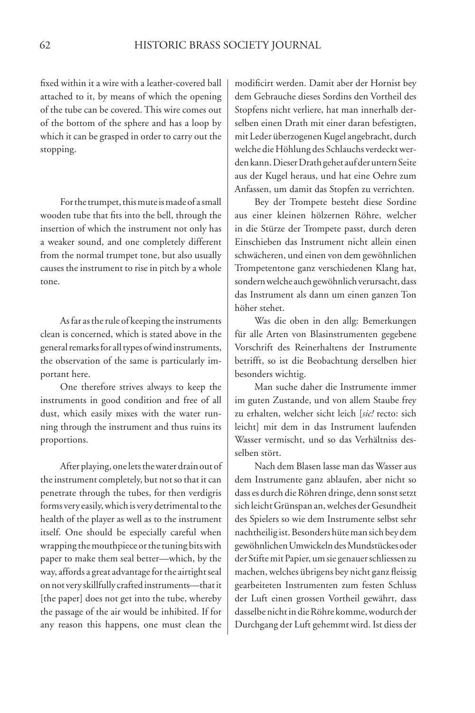fixed within it a wire with a leather-covered ball attached to it, by means of which the opening of the tube can be covered. This wire comes out of the bottom of the sphere and has a loop by which it can be grasped in order to carry out the stopping.

For the trumpet, this mute is made of a small wooden tube that fits into the bell, through the insertion of which the instrument not only has a weaker sound, and one completely different from the normal trumpet tone, but also usually causes the instrument to rise in pitch by a whole tone.

As far as the rule of keeping the instruments clean is concerned, which is stated above in the general remarks for all types of wind instruments, the observation of the same is particularly important here.

One therefore strives always to keep the instruments in good condition and free of all dust, which easily mixes with the water running through the instrument and thus ruins its proportions.

After playing, one lets the water drain out of the instrument completely, but not so that it can penetrate through the tubes, for then verdigris forms very easily, which is very detrimental to the health of the player as well as to the instrument itself. One should be especially careful when wrapping the mouthpiece or the tuning bits with paper to make them seal better—which, by the way, affords a great advantage for the airtight seal on not very skillfully crafted instruments—that it [the paper] does not get into the tube, whereby the passage of the air would be inhibited. If for any reason this happens, one must clean the

modificirt werden. Damit aber der Hornist bey dem Gebrauche dieses Sordins den Vortheil des Stopfens nicht verliere, hat man innerhalb derselben einen Drath mit einer daran befestigten, mit Leder überzogenen Kugel angebracht, durch welche die Höhlung des Schlauchs verdeckt werden kann. Dieser Drath gehet auf der untern Seite aus der Kugel heraus, und hat eine Oehre zum Anfassen, um damit das Stopfen zu verrichten.

Bey der Trompete besteht diese Sordine aus einer kleinen hölzernen Röhre, welcher in die Stürze der Trompete passt, durch deren Einschieben das Instrument nicht allein einen schwächeren, und einen von dem gewöhnlichen Trompetentone ganz verschiedenen Klang hat, sondern welche auch gewöhnlich verursacht, dass das Instrument als dann um einen ganzen Ton höher stehet.

Was die oben in den allg: Bemerkungen für alle Arten von Blasinstrumenten gegebene Vorschrift des Reinerhaltens der Instrumente betrifft, so ist die Beobachtung derselben hier besonders wichtig.

Man suche daher die Instrumente immer im guten Zustande, und von allem Staube frey zu erhalten, welcher sicht leich [*sic!* recto: sich leicht] mit dem in das Instrument laufenden Wasser vermischt, und so das Verhältniss desselben stört.

Nach dem Blasen lasse man das Wasser aus dem Instrumente ganz ablaufen, aber nicht so dass es durch die Röhren dringe, denn sonst setzt sich leicht Grünspan an, welches der Gesundheit des Spielers so wie dem Instrumente selbst sehr nachtheilig ist. Besonders hüte man sich bey dem gewöhnlichen Umwickeln des Mundstückes oder der Stifte mit Papier, um sie genauer schliessen zu machen, welches übrigens bey nicht ganz fleissig gearbeiteten Instrumenten zum festen Schluss der Luft einen grossen Vortheil gewährt, dass dasselbe nicht in die Röhre komme, wodurch der Durchgang der Luft gehemmt wird. Ist diess der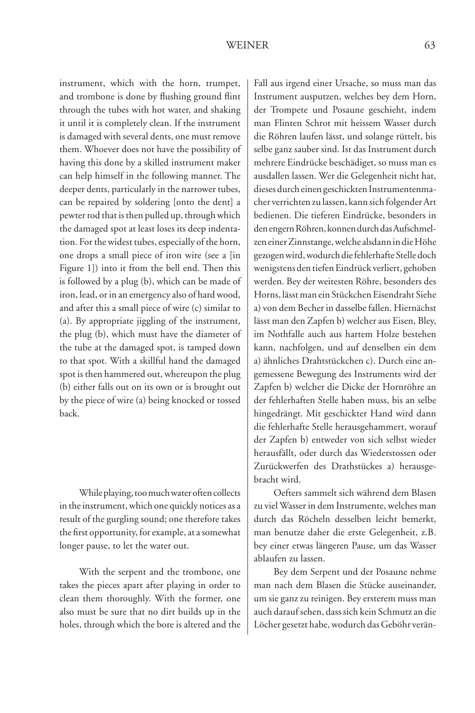instrument, which with the horn, trumpet, and trombone is done by flushing ground flint through the tubes with hot water, and shaking it until it is completely clean. If the instrument is damaged with several dents, one must remove them. Whoever does not have the possibility of having this done by a skilled instrument maker can help himself in the following manner. The deeper dents, particularly in the narrower tubes, can be repaired by soldering [onto the dent] a pewter rod that is then pulled up, through which the damaged spot at least loses its deep indentation. For the widest tubes, especially of the horn, one drops a small piece of iron wire (see a [in Figure 1]) into it from the bell end. Then this is followed by a plug (b), which can be made of iron, lead, or in an emergency also of hard wood, and after this a small piece of wire (c) similar to (a). By appropriate jiggling of the instrument, the plug (b), which must have the diameter of the tube at the damaged spot, is tamped down to that spot. With a skillful hand the damaged spot is then hammered out, whereupon the plug (b) either falls out on its own or is brought out by the piece of wire (a) being knocked or tossed back.

While playing, too much water often collects in the instrument, which one quickly notices as a result of the gurgling sound; one therefore takes the first opportunity, for example, at a somewhat longer pause, to let the water out.

With the serpent and the trombone, one takes the pieces apart after playing in order to clean them thoroughly. With the former, one also must be sure that no dirt builds up in the holes, through which the bore is altered and the

Fall aus irgend einer Ursache, so muss man das Instrument ausputzen, welches bey dem Horn, der Trompete und Posaune geschieht, indem man Flinten Schrot mit heissem Wasser durch die Röhren laufen lässt, und solange rüttelt, bis selbe ganz sauber sind. Ist das Instrument durch mehrere Eindrücke beschädiget, so muss man es ausdallen lassen. Wer die Gelegenheit nicht hat, dieses durch einen geschickten Instrumentenmacher verrichten zu lassen, kann sich folgender Art bedienen. Die tieferen Eindrücke, besonders in den engern Röhren, konnen durch das Aufschmelzen einer Zinnstange, welche alsdann in die Höhe gezogen wird, wodurch die fehlerhafte Stelle doch wenigstens den tiefen Eindrück verliert, gehoben werden. Bey der weitesten Röhre, besonders des Horns, lässt man ein Stückchen Eisendraht Siehe a) von dem Becher in dasselbe fallen. Hiernächst lässt man den Zapfen b) welcher aus Eisen, Bley, im Nothfalle auch aus hartem Holze bestehen kann, nachfolgen, und auf denselben ein dem a) ähnliches Drahtstückchen c). Durch eine angemessene Bewegung des Instruments wird der Zapfen b) welcher die Dicke der Hornröhre an der fehlerhaften Stelle haben muss, bis an selbe hingedrängt. Mit geschickter Hand wird dann die fehlerhafte Stelle herausgehammert, worauf der Zapfen b) entweder von sich selbst wieder herausfällt, oder durch das Wiederstossen oder Zurückwerfen des Drathstückes a) herausgebracht wird.

Oefters sammelt sich während dem Blasen zu viel Wasser in dem Instrumente, welches man durch das Röcheln desselben leicht bemerkt, man benutze daher die erste Gelegenheit, z.B. bey einer etwas längeren Pause, um das Wasser ablaufen zu lassen.

Bey dem Serpent und der Posaune nehme man nach dem Blasen die Stücke auseinander, um sie ganz zu reinigen. Bey ersterem muss man auch darauf sehen, dass sich kein Schmutz an die Löcher gesetzt habe, wodurch das Geböhr verän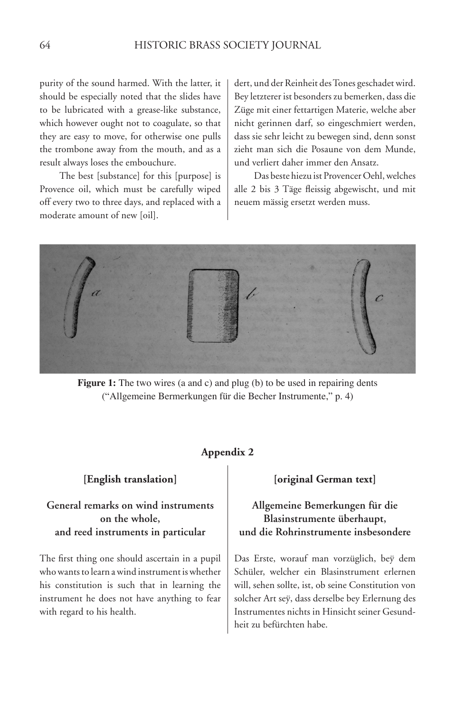purity of the sound harmed. With the latter, it should be especially noted that the slides have to be lubricated with a grease-like substance, which however ought not to coagulate, so that they are easy to move, for otherwise one pulls the trombone away from the mouth, and as a result always loses the embouchure.

The best [substance] for this [purpose] is Provence oil, which must be carefully wiped off every two to three days, and replaced with a moderate amount of new [oil].

dert, und der Reinheit des Tones geschadet wird. Bey letzterer ist besonders zu bemerken, dass die Züge mit einer fettartigen Materie, welche aber nicht gerinnen darf, so eingeschmiert werden, dass sie sehr leicht zu bewegen sind, denn sonst zieht man sich die Posaune von dem Munde, und verliert daher immer den Ansatz.

Das beste hiezu ist Provencer Oehl, welches alle 2 bis 3 Täge fleissig abgewischt, und mit neuem mässig ersetzt werden muss.



**Figure 1:** The two wires (a and c) and plug (b) to be used in repairing dents ("Allgemeine Bermerkungen für die Becher Instrumente," p. 4)

#### **Appendix 2**

#### **[English translation]**

# **General remarks on wind instruments on the whole, and reed instruments in particular**

The first thing one should ascertain in a pupil who wants to learn a wind instrument is whether his constitution is such that in learning the instrument he does not have anything to fear with regard to his health.

#### **[original German text]**

# **Allgemeine Bemerkungen für die Blasinstrumente überhaupt, und die Rohrinstrumente insbesondere**

Das Erste, worauf man vorzüglich, beÿ dem Schüler, welcher ein Blasinstrument erlernen will, sehen sollte, ist, ob seine Constitution von solcher Art seÿ, dass derselbe bey Erlernung des Instrumentes nichts in Hinsicht seiner Gesundheit zu befürchten habe.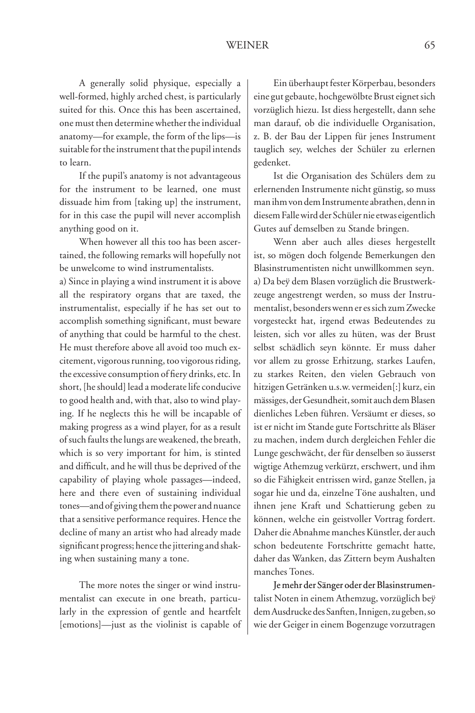A generally solid physique, especially a well-formed, highly arched chest, is particularly suited for this. Once this has been ascertained, one must then determine whether the individual anatomy—for example, the form of the lips—is suitable for the instrument that the pupil intends to learn.

If the pupil's anatomy is not advantageous for the instrument to be learned, one must dissuade him from [taking up] the instrument, for in this case the pupil will never accomplish anything good on it.

When however all this too has been ascertained, the following remarks will hopefully not be unwelcome to wind instrumentalists.

a) Since in playing a wind instrument it is above all the respiratory organs that are taxed, the instrumentalist, especially if he has set out to accomplish something significant, must beware of anything that could be harmful to the chest. He must therefore above all avoid too much excitement, vigorous running, too vigorous riding, the excessive consumption of fiery drinks, etc. In short, [he should] lead a moderate life conducive to good health and, with that, also to wind playing. If he neglects this he will be incapable of making progress as a wind player, for as a result of such faults the lungs are weakened, the breath, which is so very important for him, is stinted and difficult, and he will thus be deprived of the capability of playing whole passages—indeed, here and there even of sustaining individual tones—and of giving them the power and nuance that a sensitive performance requires. Hence the decline of many an artist who had already made significant progress; hence the jittering and shaking when sustaining many a tone.

The more notes the singer or wind instrumentalist can execute in one breath, particularly in the expression of gentle and heartfelt [emotions]—just as the violinist is capable of

Ein überhaupt fester Körperbau, besonders eine gut gebaute, hochgewölbte Brust eignet sich vorzüglich hiezu. Ist diess hergestellt, dann sehe man darauf, ob die individuelle Organisation, z. B. der Bau der Lippen für jenes Instrument tauglich sey, welches der Schüler zu erlernen gedenket.

Ist die Organisation des Schülers dem zu erlernenden Instrumente nicht günstig, so muss man ihm von dem Instrumente abrathen, denn in diesem Falle wird der Schüler nie etwas eigentlich Gutes auf demselben zu Stande bringen.

Wenn aber auch alles dieses hergestellt ist, so mögen doch folgende Bemerkungen den Blasinstrumentisten nicht unwillkommen seyn. a) Da beÿ dem Blasen vorzüglich die Brustwerkzeuge angestrengt werden, so muss der Instrumentalist, besonders wenn er es sich zum Zwecke vorgesteckt hat, irgend etwas Bedeutendes zu leisten, sich vor alles zu hüten, was der Brust selbst schädlich seyn könnte. Er muss daher vor allem zu grosse Erhitzung, starkes Laufen, zu starkes Reiten, den vielen Gebrauch von hitzigen Getränken u.s.w. vermeiden[:] kurz, ein mässiges, der Gesundheit, somit auch dem Blasen dienliches Leben führen. Versäumt er dieses, so ist er nicht im Stande gute Fortschritte als Bläser zu machen, indem durch dergleichen Fehler die Lunge geschwächt, der für denselben so äusserst wigtige Athemzug verkürzt, erschwert, und ihm so die Fähigkeit entrissen wird, ganze Stellen, ja sogar hie und da, einzelne Töne aushalten, und ihnen jene Kraft und Schattierung geben zu können, welche ein geistvoller Vortrag fordert. Daher die Abnahme manches Künstler, der auch schon bedeutente Fortschritte gemacht hatte, daher das Wanken, das Zittern beym Aushalten manches Tones.

Je mehr der Sänger oder der Blasinstrumentalist Noten in einem Athemzug, vorzüglich beÿ dem Ausdrucke des Sanften, Innigen, zu geben, so wie der Geiger in einem Bogenzuge vorzutragen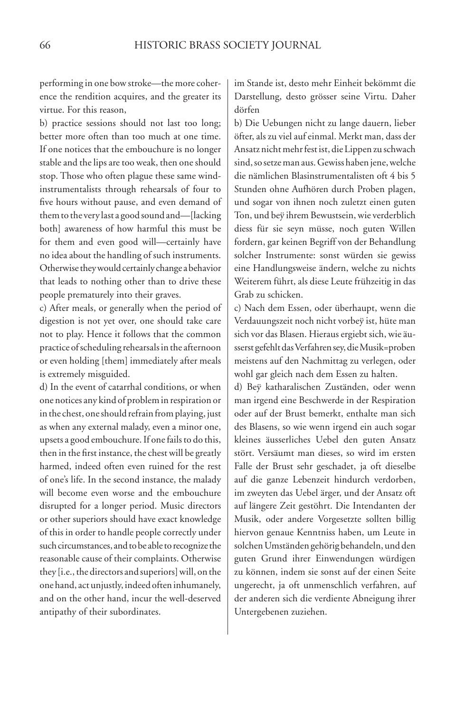performing in one bow stroke—the more coherence the rendition acquires, and the greater its virtue. For this reason,

b) practice sessions should not last too long; better more often than too much at one time. If one notices that the embouchure is no longer stable and the lips are too weak, then one should stop. Those who often plague these same windinstrumentalists through rehearsals of four to five hours without pause, and even demand of them to the very last a good sound and—[lacking both] awareness of how harmful this must be for them and even good will—certainly have no idea about the handling of such instruments. Otherwise they would certainly change a behavior that leads to nothing other than to drive these people prematurely into their graves.

c) After meals, or generally when the period of digestion is not yet over, one should take care not to play. Hence it follows that the common practice of scheduling rehearsals in the afternoon or even holding [them] immediately after meals is extremely misguided.

d) In the event of catarrhal conditions, or when one notices any kind of problem in respiration or in the chest, one should refrain from playing, just as when any external malady, even a minor one, upsets a good embouchure. If one fails to do this, then in the first instance, the chest will be greatly harmed, indeed often even ruined for the rest of one's life. In the second instance, the malady will become even worse and the embouchure disrupted for a longer period. Music directors or other superiors should have exact knowledge of this in order to handle people correctly under such circumstances, and to be able to recognize the reasonable cause of their complaints. Otherwise they [i.e., the directors and superiors] will, on the one hand, act unjustly, indeed often inhumanely, and on the other hand, incur the well-deserved antipathy of their subordinates.

im Stande ist, desto mehr Einheit bekömmt die Darstellung, desto grösser seine Virtu. Daher dörfen

b) Die Uebungen nicht zu lange dauern, lieber öfter, als zu viel auf einmal. Merkt man, dass der Ansatz nicht mehr fest ist, die Lippen zu schwach sind, so setze man aus. Gewiss haben jene, welche die nämlichen Blasinstrumentalisten oft 4 bis 5 Stunden ohne Aufhören durch Proben plagen, und sogar von ihnen noch zuletzt einen guten Ton, und beÿ ihrem Bewustsein, wie verderblich diess für sie seyn müsse, noch guten Willen fordern, gar keinen Begriff von der Behandlung solcher Instrumente: sonst würden sie gewiss eine Handlungsweise ändern, welche zu nichts Weiterem führt, als diese Leute frühzeitig in das Grab zu schicken.

c) Nach dem Essen, oder überhaupt, wenn die Verdauungszeit noch nicht vorbeÿ ist, hüte man sich vor das Blasen. Hieraus ergiebt sich, wie äusserst gefehlt das Verfahren sey, die Musik=proben meistens auf den Nachmittag zu verlegen, oder wohl gar gleich nach dem Essen zu halten.

d) Beÿ katharalischen Zuständen, oder wenn man irgend eine Beschwerde in der Respiration oder auf der Brust bemerkt, enthalte man sich des Blasens, so wie wenn irgend ein auch sogar kleines äusserliches Uebel den guten Ansatz stört. Versäumt man dieses, so wird im ersten Falle der Brust sehr geschadet, ja oft dieselbe auf die ganze Lebenzeit hindurch verdorben, im zweyten das Uebel ärger, und der Ansatz oft auf längere Zeit gestöhrt. Die Intendanten der Musik, oder andere Vorgesetzte sollten billig hiervon genaue Kenntniss haben, um Leute in solchen Umständen gehörig behandeln, und den guten Grund ihrer Einwendungen würdigen zu können, indem sie sonst auf der einen Seite ungerecht, ja oft unmenschlich verfahren, auf der anderen sich die verdiente Abneigung ihrer Untergebenen zuziehen.